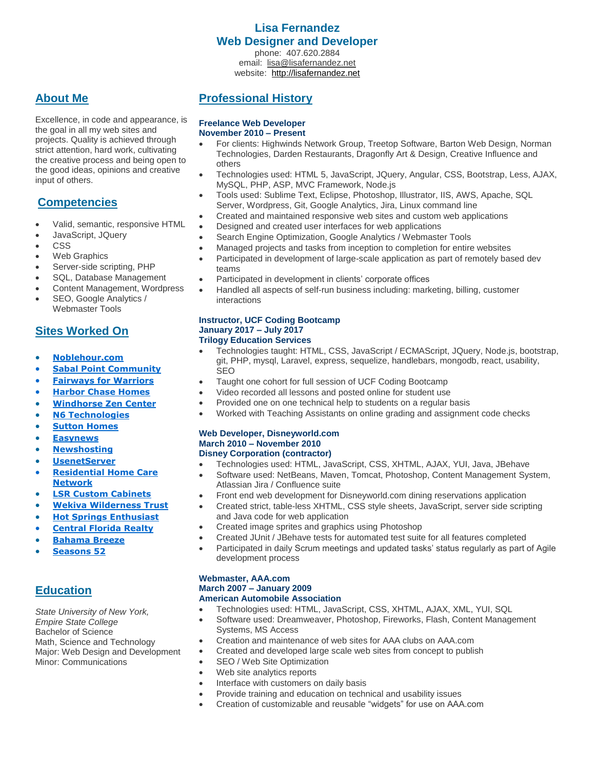### **Lisa Fernandez Web Designer and Developer**

phone: 407.620.2884 email: [lisa@lisafernandez.net](mailto:lisa@lisafernandez.net) website: [http://lisafernandez.net](http://lisafernandez.net/)

## **About Me**

Excellence, in code and appearance, is the goal in all my web sites and projects. Quality is achieved through strict attention, hard work, cultivating the creative process and being open to the good ideas, opinions and creative input of others.

# **Competencies**

- Valid, semantic, responsive HTML
- JavaScript, JQuery
- CSS
- Web Graphics
- Server-side scripting, PHP
- SQL, Database Management
- Content Management, Wordpress
- SEO, Google Analytics / Webmaster Tools

## **Sites Worked On**

- **[Noblehour.com](http://noblehour.com/)**
- **[Sabal Point Community](http://sabalpoint.org/)**
- **[Fairways for Warriors](https://fairwaysforwarriors.org/)**
- **[Harbor Chase](https://www.harborchase.com/) Homes**
- **[Windhorse Zen Center](http://www.windhorsezen.org/)**
- **[N6 Technologies](http://www.n6technologies.com/)**
- **[Sutton Homes](http://suttonhomes.com/)**
- **[Easynews](http://easynews.com/)**
- **[Newshosting](http://www.newshosting.com/)**
- **[UsenetServer](http://usenetserver.com/)**
- **[Residential Home Care](http://residentialhomecarenetwork.org/)  [Network](http://residentialhomecarenetwork.org/)**
- **[LSR Custom Cabinets](http://lsrcustomcabinets.com/)**
- **[Wekiva Wilderness Trust](http://wwt-cso.com/)**
- **[Hot Springs Enthusiast](http://www.hotspringsenthusiast.com/)**
- **[Central Florida Realty](http://michellescfl.com/)**
- **[Bahama Breeze](http://www.bahamabreeze.com/)**
- **[Seasons 52](http://www.seasons52.com/)**

# **Education**

*State University of New York, Empire State College*  Bachelor of Science Math, Science and Technology Major: Web Design and Development Minor: Communications

## **Professional History**

#### **Freelance Web Developer November 2010 – Present**

- For clients: Highwinds Network Group, Treetop Software, Barton Web Design, Norman Technologies, Darden Restaurants, Dragonfly Art & Design, Creative Influence and others
- Technologies used: HTML 5, JavaScript, JQuery, Angular, CSS, Bootstrap, Less, AJAX, MySQL, PHP, ASP, MVC Framework, Node.js
- Tools used: Sublime Text, Eclipse, Photoshop, Illustrator, IIS, AWS, Apache, SQL Server, Wordpress, Git, Google Analytics, Jira, Linux command line
- Created and maintained responsive web sites and custom web applications
- Designed and created user interfaces for web applications
- Search Engine Optimization, Google Analytics / Webmaster Tools
- Managed projects and tasks from inception to completion for entire websites
- Participated in development of large-scale application as part of remotely based dev teams
- Participated in development in clients' corporate offices
- Handled all aspects of self-run business including: marketing, billing, customer interactions

#### **Instructor, UCF Coding Bootcamp January 2017 – July 2017 Trilogy Education Services**

- Technologies taught: HTML, CSS, JavaScript / ECMAScript, JQuery, Node.js, bootstrap, git, PHP, mysql, Laravel, express, sequelize, handlebars, mongodb, react, usability, SEO
- Taught one cohort for full session of UCF Coding Bootcamp
- Video recorded all lessons and posted online for student use
- Provided one on one technical help to students on a regular basis
- Worked with Teaching Assistants on online grading and assignment code checks

#### **Web Developer, Disneyworld.com March 2010 – November 2010 Disney Corporation (contractor)**

- Technologies used: HTML, JavaScript, CSS, XHTML, AJAX, YUI, Java, JBehave
- Software used: NetBeans, Maven, Tomcat, Photoshop, Content Management System, Atlassian Jira / Confluence suite
- Front end web development for Disneyworld.com dining reservations application
- Created strict, table-less XHTML, CSS style sheets, JavaScript, server side scripting and Java code for web application
- Created image sprites and graphics using Photoshop
- Created JUnit / JBehave tests for automated test suite for all features completed
- Participated in daily Scrum meetings and updated tasks' status regularly as part of Agile development process

### **Webmaster, AAA.com March 2007 – January 2009 American Automobile Association**

- Technologies used: HTML, JavaScript, CSS, XHTML, AJAX, XML, YUI, SQL
- Software used: Dreamweaver, Photoshop, Fireworks, Flash, Content Management Systems, MS Access
- Creation and maintenance of web sites for AAA clubs on AAA.com
- Created and developed large scale web sites from concept to publish
- SEO / Web Site Optimization
- Web site analytics reports
- Interface with customers on daily basis
- Provide training and education on technical and usability issues
- Creation of customizable and reusable "widgets" for use on AAA.com